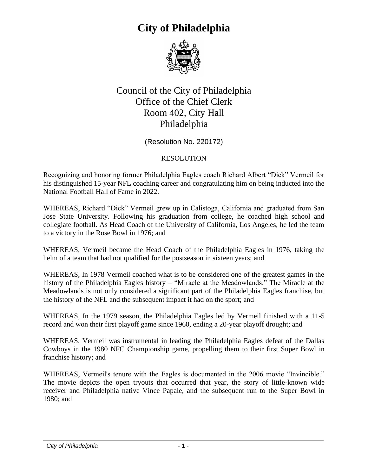

#### Council of the City of Philadelphia Office of the Chief Clerk Room 402, City Hall Philadelphia

(Resolution No. 220172)

#### RESOLUTION

Recognizing and honoring former Philadelphia Eagles coach Richard Albert "Dick" Vermeil for his distinguished 15-year NFL coaching career and congratulating him on being inducted into the National Football Hall of Fame in 2022.

WHEREAS, Richard "Dick" Vermeil grew up in Calistoga, California and graduated from San Jose State University. Following his graduation from college, he coached high school and collegiate football. As Head Coach of the University of California, Los Angeles, he led the team to a victory in the Rose Bowl in 1976; and

WHEREAS, Vermeil became the Head Coach of the Philadelphia Eagles in 1976, taking the helm of a team that had not qualified for the postseason in sixteen years; and

WHEREAS, In 1978 Vermeil coached what is to be considered one of the greatest games in the history of the Philadelphia Eagles history – "Miracle at the Meadowlands." The Miracle at the Meadowlands is not only considered a significant part of the Philadelphia Eagles franchise, but the history of the NFL and the subsequent impact it had on the sport; and

WHEREAS, In the 1979 season, the Philadelphia Eagles led by Vermeil finished with a 11-5 record and won their first playoff game since 1960, ending a 20-year playoff drought; and

WHEREAS, Vermeil was instrumental in leading the Philadelphia Eagles defeat of the Dallas Cowboys in the 1980 NFC Championship game, propelling them to their first Super Bowl in franchise history; and

WHEREAS, Vermeil's tenure with the Eagles is documented in the 2006 movie "Invincible." The movie depicts the open tryouts that occurred that year, the story of little-known wide receiver and Philadelphia native Vince Papale, and the subsequent run to the Super Bowl in 1980; and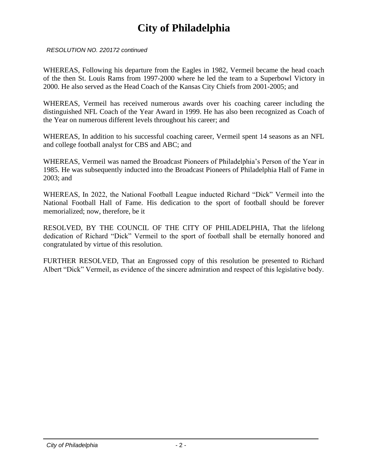*RESOLUTION NO. 220172 continued*

WHEREAS, Following his departure from the Eagles in 1982, Vermeil became the head coach of the then St. Louis Rams from 1997-2000 where he led the team to a Superbowl Victory in 2000. He also served as the Head Coach of the Kansas City Chiefs from 2001-2005; and

WHEREAS, Vermeil has received numerous awards over his coaching career including the distinguished NFL Coach of the Year Award in 1999. He has also been recognized as Coach of the Year on numerous different levels throughout his career; and

WHEREAS, In addition to his successful coaching career, Vermeil spent 14 seasons as an NFL and college football analyst for CBS and ABC; and

WHEREAS, Vermeil was named the Broadcast Pioneers of Philadelphia's Person of the Year in 1985. He was subsequently inducted into the Broadcast Pioneers of Philadelphia Hall of Fame in 2003; and

WHEREAS, In 2022, the National Football League inducted Richard "Dick" Vermeil into the National Football Hall of Fame. His dedication to the sport of football should be forever memorialized; now, therefore, be it

RESOLVED, BY THE COUNCIL OF THE CITY OF PHILADELPHIA, That the lifelong dedication of Richard "Dick" Vermeil to the sport of football shall be eternally honored and congratulated by virtue of this resolution.

FURTHER RESOLVED, That an Engrossed copy of this resolution be presented to Richard Albert "Dick" Vermeil, as evidence of the sincere admiration and respect of this legislative body.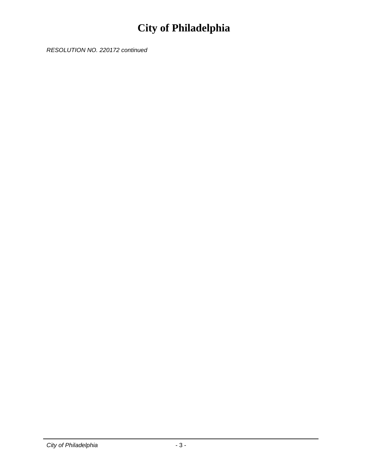*RESOLUTION NO. 220172 continued*